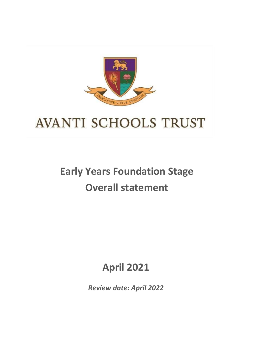

# **AVANTI SCHOOLS TRUST**

# **Early Years Foundation Stage Overall statement**

## **April 2021**

*Review date: April 2022*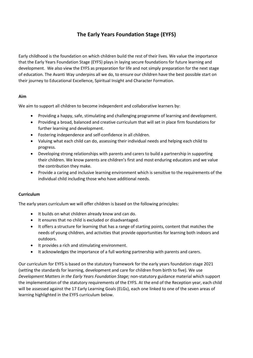### **The Early Years Foundation Stage (EYFS)**

Early childhood is the foundation on which children build the rest of their lives. We value the importance that the Early Years Foundation Stage (EYFS) plays in laying secure foundations for future learning and development. We also view the EYFS as preparation for life and not simply preparation for the next stage of education. The Avanti Way underpins all we do, to ensure our children have the best possible start on their journey to Educational Excellence, Spiritual Insight and Character Formation.

#### **Aim**

We aim to support all children to become independent and collaborative learners by:

- Providing a happy, safe, stimulating and challenging programme of learning and development.
- Providing a broad, balanced and creative curriculum that will set in place firm foundations for further learning and development.
- Fostering independence and self-confidence in all children.
- Valuing what each child can do, assessing their individual needs and helping each child to progress.
- Developing strong relationships with parents and carers to build a partnership in supporting their children. We know parents are children's first and most enduring educators and we value the contribution they make.
- Provide a caring and inclusive learning environment which is sensitive to the requirements of the individual child including those who have additional needs.

### **Curriculum**

The early years curriculum we will offer children is based on the following principles:

- It builds on what children already know and can do.
- It ensures that no child is excluded or disadvantaged.
- It offers a structure for learning that has a range of starting points, content that matches the needs of young children, and activities that provide opportunities for learning both indoors and outdoors.
- It provides a rich and stimulating environment.
- It acknowledges the importance of a full working partnership with parents and carers.

Our curriculum for EYFS is based on the statutory framework for the early years foundation stage 2021 (setting the standards for learning, development and care for children from birth to five). We use *Development Matters in the Early Years Foundation Stage;* non-statutory guidance material which support the implementation of the statutory requirements of the EYFS. At the end of the Reception year, each child will be assessed against the 17 Early Learning Goals (ELGs), each one linked to one of the seven areas of learning highlighted in the EYFS curriculum below.